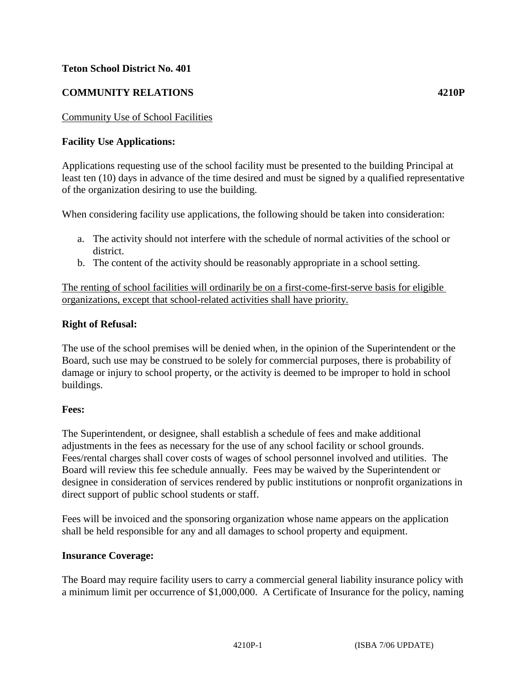## **Teton School District No. 401**

# **COMMUNITY RELATIONS 4210P**

## Community Use of School Facilities

## **Facility Use Applications:**

Applications requesting use of the school facility must be presented to the building Principal at least ten (10) days in advance of the time desired and must be signed by a qualified representative of the organization desiring to use the building.

When considering facility use applications, the following should be taken into consideration:

- a. The activity should not interfere with the schedule of normal activities of the school or district.
- b. The content of the activity should be reasonably appropriate in a school setting.

The renting of school facilities will ordinarily be on a first-come-first-serve basis for eligible organizations, except that school-related activities shall have priority.

#### **Right of Refusal:**

The use of the school premises will be denied when, in the opinion of the Superintendent or the Board, such use may be construed to be solely for commercial purposes, there is probability of damage or injury to school property, or the activity is deemed to be improper to hold in school buildings.

#### **Fees:**

The Superintendent, or designee, shall establish a schedule of fees and make additional adjustments in the fees as necessary for the use of any school facility or school grounds. Fees/rental charges shall cover costs of wages of school personnel involved and utilities. The Board will review this fee schedule annually. Fees may be waived by the Superintendent or designee in consideration of services rendered by public institutions or nonprofit organizations in direct support of public school students or staff.

Fees will be invoiced and the sponsoring organization whose name appears on the application shall be held responsible for any and all damages to school property and equipment.

#### **Insurance Coverage:**

The Board may require facility users to carry a commercial general liability insurance policy with a minimum limit per occurrence of \$1,000,000. A Certificate of Insurance for the policy, naming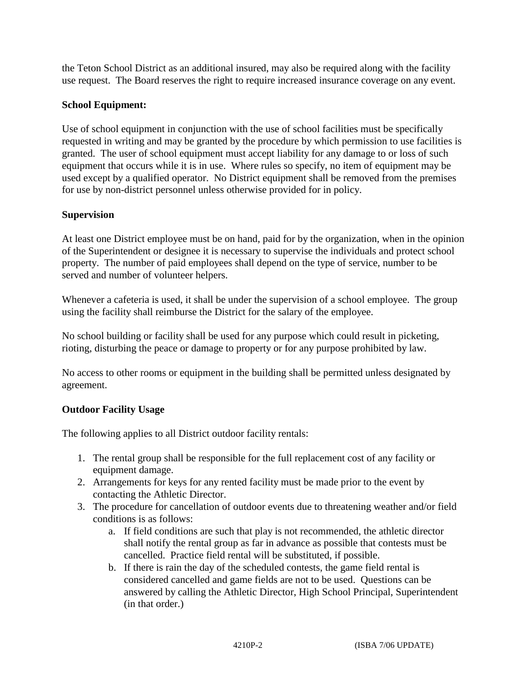the Teton School District as an additional insured, may also be required along with the facility use request. The Board reserves the right to require increased insurance coverage on any event.

# **School Equipment:**

Use of school equipment in conjunction with the use of school facilities must be specifically requested in writing and may be granted by the procedure by which permission to use facilities is granted. The user of school equipment must accept liability for any damage to or loss of such equipment that occurs while it is in use. Where rules so specify, no item of equipment may be used except by a qualified operator. No District equipment shall be removed from the premises for use by non-district personnel unless otherwise provided for in policy.

## **Supervision**

At least one District employee must be on hand, paid for by the organization, when in the opinion of the Superintendent or designee it is necessary to supervise the individuals and protect school property. The number of paid employees shall depend on the type of service, number to be served and number of volunteer helpers.

Whenever a cafeteria is used, it shall be under the supervision of a school employee. The group using the facility shall reimburse the District for the salary of the employee.

No school building or facility shall be used for any purpose which could result in picketing, rioting, disturbing the peace or damage to property or for any purpose prohibited by law.

No access to other rooms or equipment in the building shall be permitted unless designated by agreement.

## **Outdoor Facility Usage**

The following applies to all District outdoor facility rentals:

- 1. The rental group shall be responsible for the full replacement cost of any facility or equipment damage.
- 2. Arrangements for keys for any rented facility must be made prior to the event by contacting the Athletic Director.
- 3. The procedure for cancellation of outdoor events due to threatening weather and/or field conditions is as follows:
	- a. If field conditions are such that play is not recommended, the athletic director shall notify the rental group as far in advance as possible that contests must be cancelled. Practice field rental will be substituted, if possible.
	- b. If there is rain the day of the scheduled contests, the game field rental is considered cancelled and game fields are not to be used. Questions can be answered by calling the Athletic Director, High School Principal, Superintendent (in that order.)